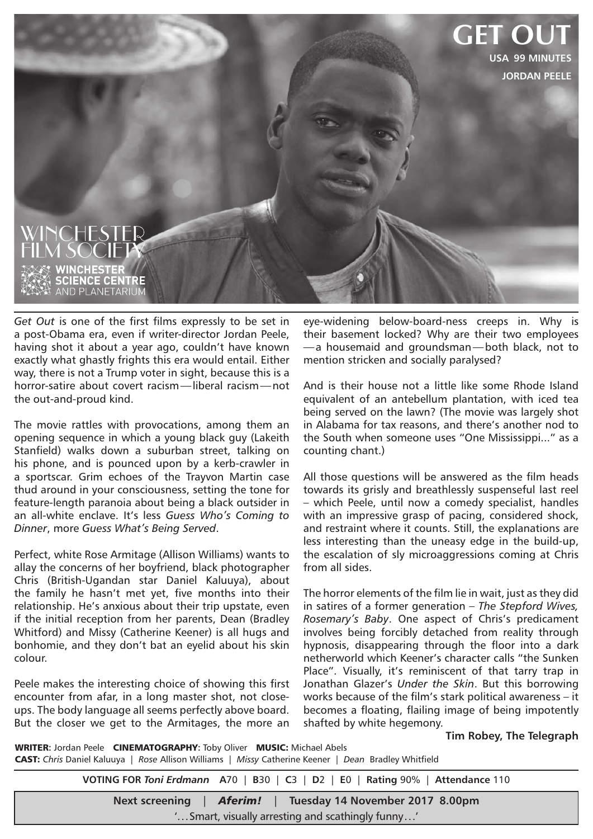

*Get Out* is one of the first films expressly to be set in a post-Obama era, even if writer-director Jordan Peele, having shot it about a year ago, couldn't have known exactly what ghastly frights this era would entail. Either way, there is not a Trump voter in sight, because this is a horror-satire about covert racism—liberal racism—not the out-and-proud kind.

The movie rattles with provocations, among them an opening sequence in which a young black guy (Lakeith Stanfield) walks down a suburban street, talking on his phone, and is pounced upon by a kerb-crawler in a sportscar. Grim echoes of the Trayvon Martin case thud around in your consciousness, setting the tone for feature-length paranoia about being a black outsider in an all-white enclave. It's less *Guess Who's Coming to Dinner*, more *Guess What's Being Served*.

Perfect, white Rose Armitage (Allison Williams) wants to allay the concerns of her boyfriend, black photographer Chris (British-Ugandan star Daniel Kaluuya), about the family he hasn't met yet, five months into their relationship. He's anxious about their trip upstate, even if the initial reception from her parents, Dean (Bradley Whitford) and Missy (Catherine Keener) is all hugs and bonhomie, and they don't bat an eyelid about his skin colour.

Peele makes the interesting choice of showing this first encounter from afar, in a long master shot, not closeups. The body language all seems perfectly above board. But the closer we get to the Armitages, the more an

eye-widening below-board-ness creeps in. Why is their basement locked? Why are their two employees —a housemaid and groundsman—both black, not to mention stricken and socially paralysed?

And is their house not a little like some Rhode Island equivalent of an antebellum plantation, with iced tea being served on the lawn? (The movie was largely shot in Alabama for tax reasons, and there's another nod to the South when someone uses "One Mississippi..." as a counting chant.)

All those questions will be answered as the film heads towards its grisly and breathlessly suspenseful last reel – which Peele, until now a comedy specialist, handles with an impressive grasp of pacing, considered shock, and restraint where it counts. Still, the explanations are less interesting than the uneasy edge in the build-up, the escalation of sly microaggressions coming at Chris from all sides.

The horror elements of the film lie in wait, just as they did in satires of a former generation – *The Stepford Wives, Rosemary's Baby*. One aspect of Chris's predicament involves being forcibly detached from reality through hypnosis, disappearing through the floor into a dark netherworld which Keener's character calls "the Sunken Place". Visually, it's reminiscent of that tarry trap in Jonathan Glazer's *Under the Skin*. But this borrowing works because of the film's stark political awareness – it becomes a floating, flailing image of being impotently shafted by white hegemony.

**Tim Robey, The Telegraph**

WRITER**:** Jordan Peele CINEMATOGRAPHY**:** Toby Oliver MUSIC: Michael Abels CAST: *Chris* Daniel Kaluuya | *Rose* Allison Williams | *Missy* Catherine Keener | *Dean* Bradley Whitfield

> **VOTING FOR** *Toni Erdmann* **A**70 | **B**30 | **C**3 | **D**2 | **E**0 | **Rating** 90% | **Attendance** 110 **Next screening** | *Aferim!* | **Tuesday 14 November 2017 8.00pm** '...Smart, visually arresting and scathingly funny...'